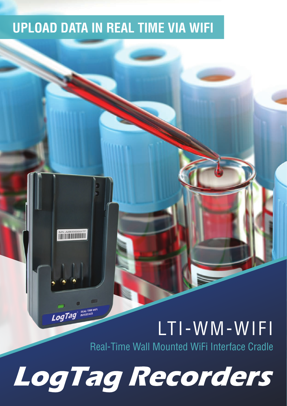#### **UPLOAD DATA IN REAL TIME VIA WIFI**

S/N: A0B5000001TT

LogTag

#### LTI-WM-WIFI

Real-Time Wall Mounted WiFi Interface Cradle

LogTag Recorders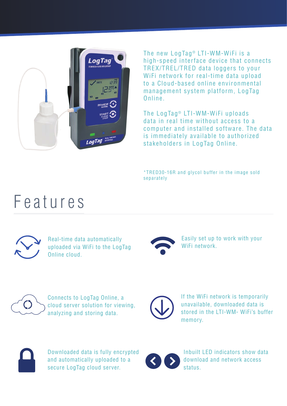

The new LogTag<sup>®</sup> LTI-WM-WiFi is a high-speed interface device that connects TREX/TREL/TRED data loggers to your WiFi network for real-time data upload to a Cloud-based online environmental management system platform, LogTag Online.

The LogTag<sup>®</sup> LTI-WM-WiFi uploads data in real time without access to a computer and installed software. The data is immediately available to authorized stakeholders in LogTag Online.

\*TRED30-16R and glycol buffer in the image sold separately

#### Features



Real-time data automatically uploaded via WiFi to the LogTag Online cloud.



Easily set up to work with your WiFi network.



Connects to LogTag Online, a cloud server solution for viewing, analyzing and storing data.



If the WiFi network is temporarily unavailable, downloaded data is stored in the LTI-WM- WiFi's buffer memory.



Downloaded data is fully encrypted and automatically uploaded to a secure LogTag cloud server.



Inbuilt LED indicators show data download and network access status.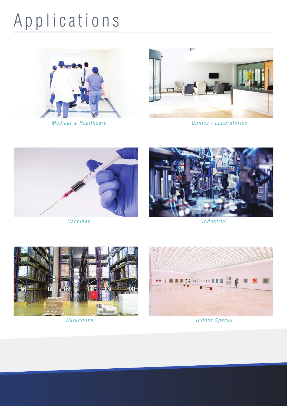## Applications





Medical & Healthcare Clinics / Laboratories





Vaccines and the interval of the Industrial Analysis of the Industrial





Warehouse **Indoor Spaces**